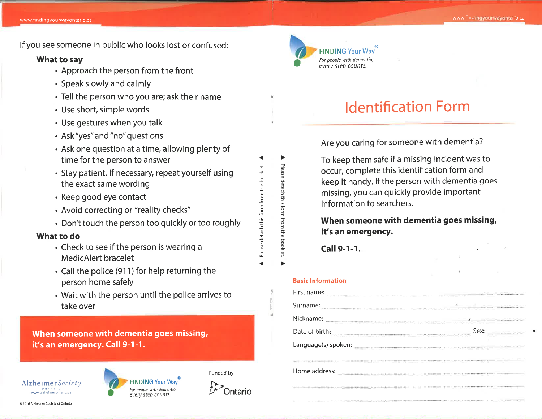lf you see someone in public who looks lost or confused:

# What to say

- . Approach the person from the front
- . Speak slowly and calmly
- Tell the person who you are; ask their name
- . Use short, simple words
- . Use gestures when you talk
- . Ask "yes" and "no" questions
- . Ask one question at a time, allowing plenty of time for the person to answer
- . Stay patient. lf necessary, repeat yourself using the exact same wording
- . Keep good eye contact
- . Avoid correcting or "reality checks"
- . Don't touch the person too quickly or too roughly

# What to do

- . Check to see if the person is wearing <sup>a</sup> MedicAlert bracelet
- $\cdot$  Call the police (911) for help returning the person home safely
- . Wait with the person until the police arrives to take over

When someone with dementia goes missing, it's an emergency. Call 9-1-1.







Funded by

o =o o -o a Please

o Ð J =õ o 3 f

ne booklet.

E

E ô '= etach ·

Please

# ldentification Form

Are you caring for someone with dementia?

To keep them safe if a missing incident was to occur, complete this identification form and keep it handy. lf the person with dementia goes missing, you can quickly provide important information to searchers.

When someone with dementia goes missing, it's an emergency.

Call 9-1-1.

#### Basic lnformation

| First name:                                                                        |                                                                                                                                                                                                                                |
|------------------------------------------------------------------------------------|--------------------------------------------------------------------------------------------------------------------------------------------------------------------------------------------------------------------------------|
| Surname:                                                                           |                                                                                                                                                                                                                                |
| Nickname:                                                                          | <br>and a present present that the                                                                                                                                                                                             |
| Date of birth:                                                                     | Sex:<br>                                                                                                                                                                                                                       |
| Language(s) spoken:                                                                |                                                                                                                                                                                                                                |
| TOOT FREEDOM FRY FITR-HE-DOOR FRY HERODOMO THE FRONT EER PRODUCT WAS FIT FOR THE T | THE R. P. LEWIS CO., LANSING, MICH.                                                                                                                                                                                            |
| Home address:                                                                      | www.com/www.com/www.com/www.com/www.com/www.com/www.com/www.com/www.com/www.com/                                                                                                                                               |
|                                                                                    | The contract of the contract of the contract of the contract of the contract of the contract of the contract of the contract of the contract of the contract of the contract of the contract of the contract of the contract o |
|                                                                                    |                                                                                                                                                                                                                                |

@ 2016 Alzheimer Society of Ontarlo